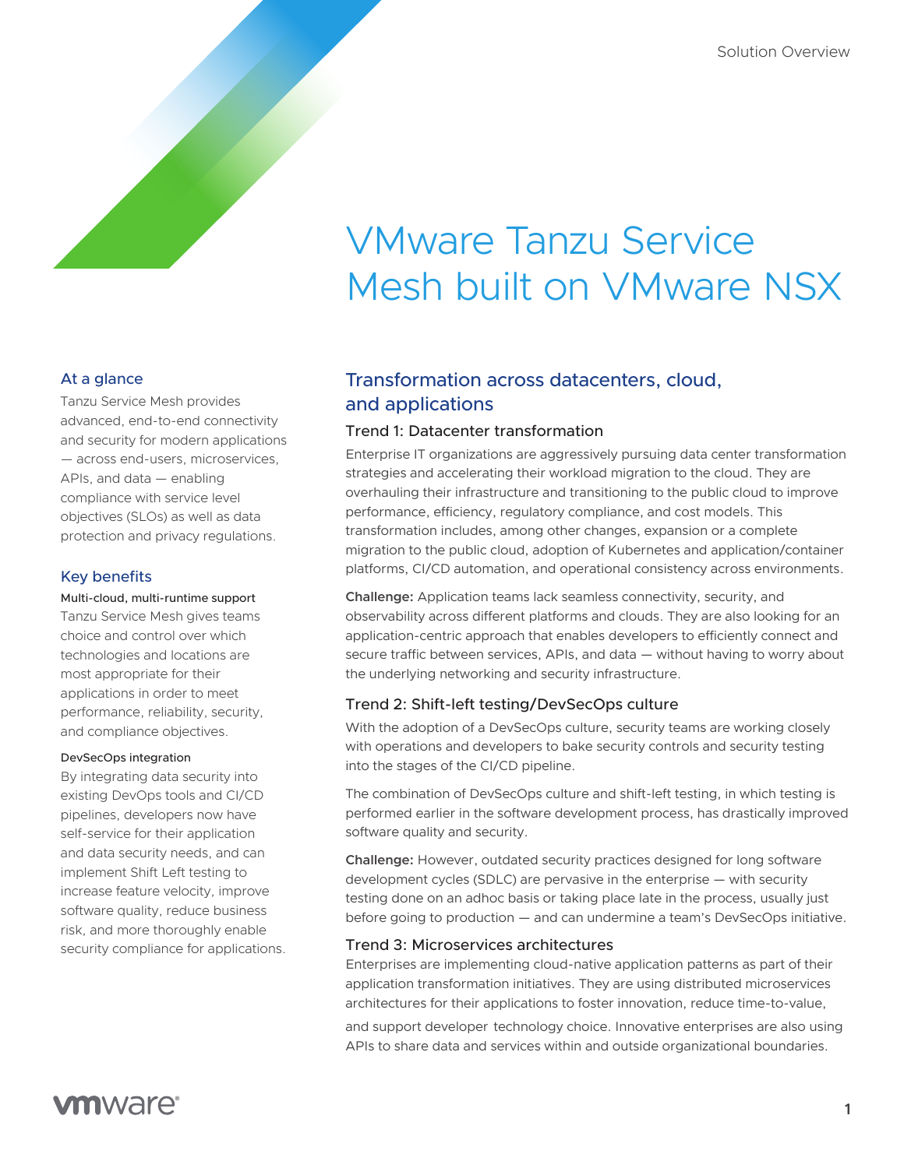# VMware Tanzu Service Mesh built on VMware NSX

### At a glance

Tanzu Service Mesh provides advanced, end-to-end connectivity and security for modern applications — across end-users, microservices, APIs, and data — enabling compliance with service level objectives (SLOs) as well as data protection and privacy regulations.

## Key benefits

Multi-cloud, multi-runtime support

Tanzu Service Mesh gives teams choice and control over which technologies and locations are most appropriate for their applications in order to meet performance, reliability, security, and compliance objectives.

#### DevSecOps integration

By integrating data security into existing DevOps tools and CI/CD pipelines, developers now have self-service for their application and data security needs, and can implement Shift Left testing to increase feature velocity, improve software quality, reduce business risk, and more thoroughly enable security compliance for applications.

# Transformation across datacenters, cloud, and applications

#### Trend 1: Datacenter transformation

Enterprise IT organizations are aggressively pursuing data center transformation strategies and accelerating their workload migration to the cloud. They are overhauling their infrastructure and transitioning to the public cloud to improve performance, efficiency, regulatory compliance, and cost models. This transformation includes, among other changes, expansion or a complete migration to the public cloud, adoption of Kubernetes and application/container platforms, CI/CD automation, and operational consistency across environments.

**Challenge:** Application teams lack seamless connectivity, security, and observability across different platforms and clouds. They are also looking for an application-centric approach that enables developers to efficiently connect and secure traffic between services, APIs, and data — without having to worry about the underlying networking and security infrastructure.

#### Trend 2: Shift-left testing/DevSecOps culture

With the adoption of a DevSecOps culture, security teams are working closely with operations and developers to bake security controls and security testing into the stages of the CI/CD pipeline.

The combination of DevSecOps culture and shift-left testing, in which testing is performed earlier in the software development process, has drastically improved software quality and security.

**Challenge:** However, outdated security practices designed for long software development cycles (SDLC) are pervasive in the enterprise — with security testing done on an adhoc basis or taking place late in the process, usually just before going to production — and can undermine a team's DevSecOps initiative.

#### Trend 3: Microservices architectures

Enterprises are implementing cloud-native application patterns as part of their application transformation initiatives. They are using distributed microservices architectures for their applications to foster innovation, reduce time-to-value,

and support developer technology choice. Innovative enterprises are also using APIs to share data and services within and outside organizational boundaries.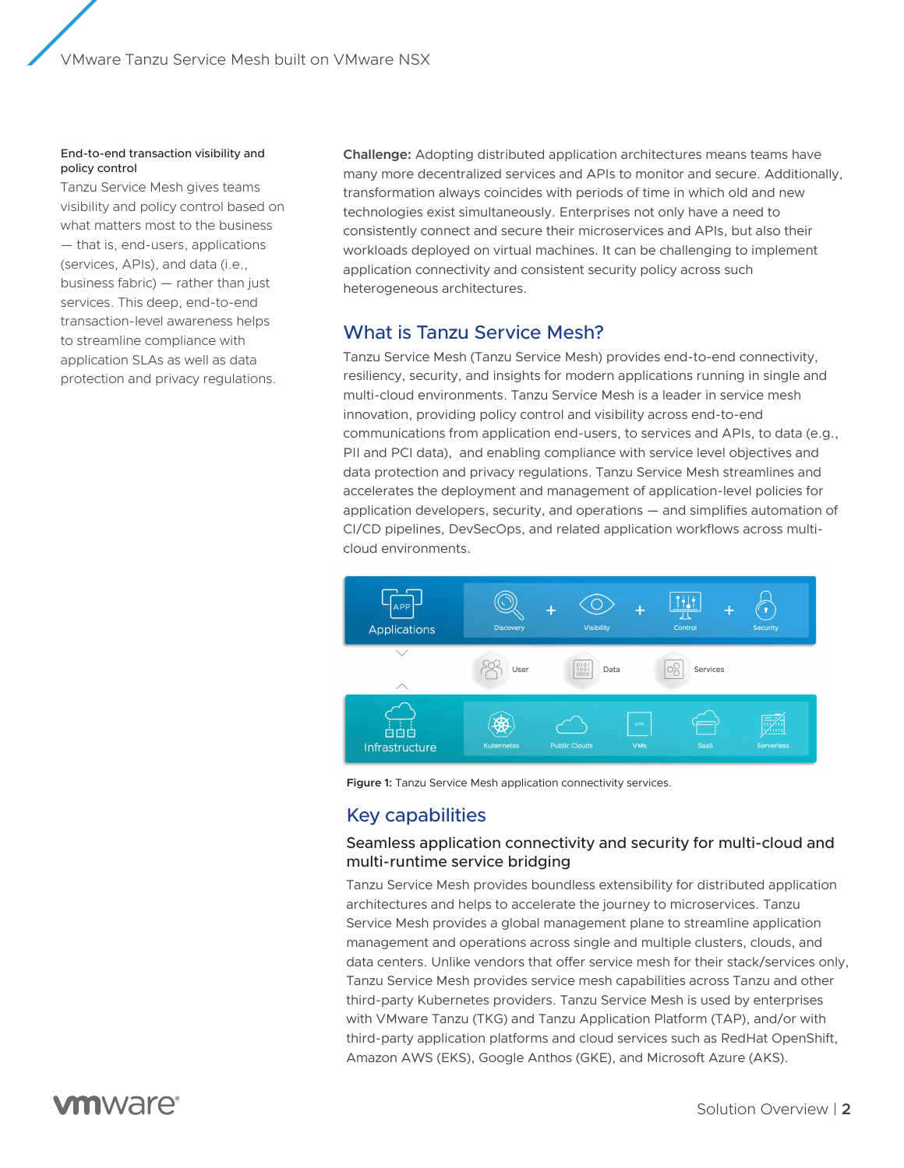VMware Tanzu Service Mesh built on VMware NSX

#### End-to-end transaction visibility and policy control

Tanzu Service Mesh gives teams visibility and policy control based on what matters most to the business — that is, end-users, applications (services, APIs), and data (i.e., business fabric) — rather than just services. This deep, end-to-end transaction-level awareness helps to streamline compliance with application SLAs as well as data protection and privacy regulations.

**Challenge:** Adopting distributed application architectures means teams have many more decentralized services and APIs to monitor and secure. Additionally, transformation always coincides with periods of time in which old and new technologies exist simultaneously. Enterprises not only have a need to consistently connect and secure their microservices and APIs, but also their workloads deployed on virtual machines. It can be challenging to implement application connectivity and consistent security policy across such heterogeneous architectures.

# What is Tanzu Service Mesh?

Tanzu Service Mesh (Tanzu Service Mesh) provides end-to-end connectivity, resiliency, security, and insights for modern applications running in single and multi-cloud environments. Tanzu Service Mesh is a leader in service mesh innovation, providing policy control and visibility across end-to-end communications from application end-users, to services and APIs, to data (e.g., PII and PCI data), and enabling compliance with service level objectives and data protection and privacy regulations. Tanzu Service Mesh streamlines and accelerates the deployment and management of application-level policies for application developers, security, and operations — and simplifies automation of CI/CD pipelines, DevSecOps, and related application workflows across multicloud environments.



**Figure 1:** Tanzu Service Mesh application connectivity services.

# Key capabilities

#### Seamless application connectivity and security for multi-cloud and multi-runtime service bridging

Tanzu Service Mesh provides boundless extensibility for distributed application architectures and helps to accelerate the journey to microservices. Tanzu Service Mesh provides a global management plane to streamline application management and operations across single and multiple clusters, clouds, and data centers. Unlike vendors that offer service mesh for their stack/services only, Tanzu Service Mesh provides service mesh capabilities across Tanzu and other third-party Kubernetes providers. Tanzu Service Mesh is used by enterprises with VMware Tanzu (TKG) and Tanzu Application Platform (TAP), and/or with third-party application platforms and cloud services such as RedHat OpenShift, Amazon AWS (EKS), Google Anthos (GKE), and Microsoft Azure (AKS).